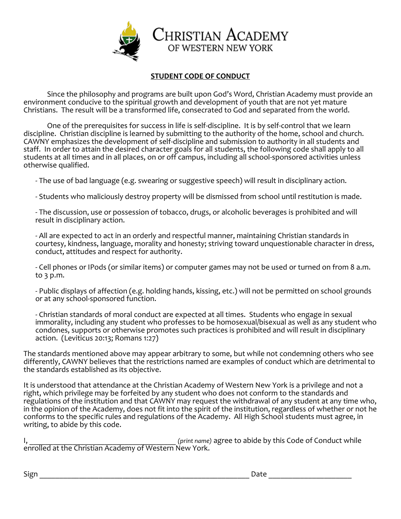

## **STUDENT CODE OF CONDUCT**

Since the philosophy and programs are built upon God's Word, Christian Academy must provide an environment conducive to the spiritual growth and development of youth that are not yet mature Christians. The result will be a transformed life, consecrated to God and separated from the world.

One of the prerequisites for success in life is self-discipline. It is by self-control that we learn discipline. Christian discipline is learned by submitting to the authority of the home, school and church. CAWNY emphasizes the development of self-discipline and submission to authority in all students and staff. In order to attain the desired character goals for all students, the following code shall apply to all students at all times and in all places, on or off campus, including all school-sponsored activities unless otherwise qualified.

- The use of bad language (e.g. swearing or suggestive speech) will result in disciplinary action.

- Students who maliciously destroy property will be dismissed from school until restitution is made.

- The discussion, use or possession of tobacco, drugs, or alcoholic beverages is prohibited and will result in disciplinary action.

- All are expected to act in an orderly and respectful manner, maintaining Christian standards in courtesy, kindness, language, morality and honesty; striving toward unquestionable character in dress, conduct, attitudes and respect for authority.

- Cell phones or IPods (or similar items) or computer games may not be used or turned on from 8 a.m. to 3 p.m.

- Public displays of affection (e.g. holding hands, kissing, etc.) will not be permitted on school grounds or at any school-sponsored function.

- Christian standards of moral conduct are expected at all times. Students who engage in sexual immorality, including any student who professes to be homosexual/bisexual as well as any student who condones, supports or otherwise promotes such practices is prohibited and will result in disciplinary action. (Leviticus 20:13; Romans 1:27)

The standards mentioned above may appear arbitrary to some, but while not condemning others who see differently, CAWNY believes that the restrictions named are examples of conduct which are detrimental to the standards established as its objective.

It is understood that attendance at the Christian Academy of Western New York is a privilege and not a right, which privilege may be forfeited by any student who does not conform to the standards and regulations of the institution and that CAWNY may request the withdrawal of any student at any time who, in the opinion of the Academy, does not fit into the spirit of the institution, regardless of whether or not he conforms to the specific rules and regulations of the Academy. All High School students must agree, in writing, to abide by this code.

I, \_\_\_\_\_\_\_\_\_\_\_\_\_\_\_\_\_\_\_\_\_\_\_\_\_\_\_\_\_\_\_\_\_\_\_\_\_ *(print name)* agree to abide by this Code of Conduct while enrolled at the Christian Academy of Western New York.

 $\Box$ grid and the set of the set of the set of the set of the set of the set of the set of the set of the set of the set of the set of the set of the set of the set of the set of the set of the set of the set of the set of